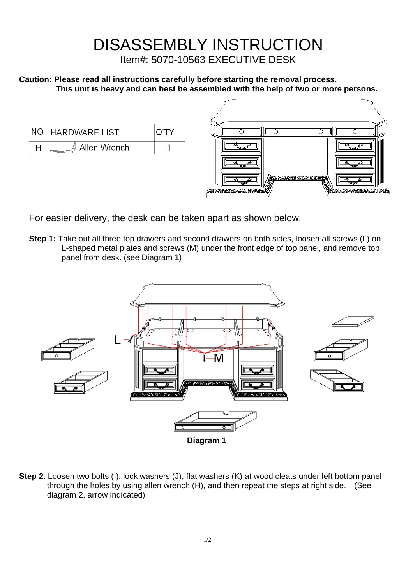## DISASSEMBLY INSTRUCTION

Item#: 5070-10563 EXECUTIVE DESK

**Caution: Please read all instructions carefully before starting the removal process. This unit is heavy and can best be assembled with the help of two or more persons.**

| NO HARDWARE LIST |  |
|------------------|--|
| Allen Wrench     |  |



For easier delivery, the desk can be taken apart as shown below.

**Step 1:** Take out all three top drawers and second drawers on both sides, loosen all screws (L) on L-shaped metal plates and screws (M) under the front edge of top panel, and remove top panel from desk. (see Diagram 1)



**Step 2**. Loosen two bolts (I), lock washers (J), flat washers (K) at wood cleats under left bottom panel through the holes by using allen wrench (H), and then repeat the steps at right side. (See diagram 2, arrow indicated)